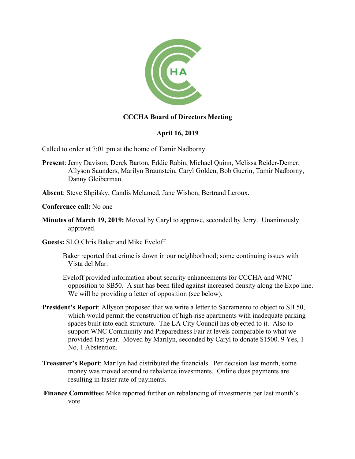

## **CCCHA Board of Directors Meeting**

## **April 16, 2019**

Called to order at 7:01 pm at the home of Tamir Nadborny.

- **Present**: Jerry Davison, Derek Barton, Eddie Rabin, Michael Quinn, Melissa Reider-Demer, Allyson Saunders, Marilyn Braunstein, Caryl Golden, Bob Guerin, Tamir Nadborny, Danny Gleiberman.
- **Absent**: Steve Shpilsky, Candis Melamed, Jane Wishon, Bertrand Leroux.
- **Conference call:** No one
- **Minutes of March 19, 2019:** Moved by Caryl to approve, seconded by Jerry. Unanimously approved.
- **Guests:** SLO Chris Baker and Mike Eveloff.
	- Baker reported that crime is down in our neighborhood; some continuing issues with Vista del Mar.
	- Eveloff provided information about security enhancements for CCCHA and WNC opposition to SB50. A suit has been filed against increased density along the Expo line. We will be providing a letter of opposition (see below).
- **President's Report**: Allyson proposed that we write a letter to Sacramento to object to SB 50, which would permit the construction of high-rise apartments with inadequate parking spaces built into each structure. The LA City Council has objected to it. Also to support WNC Community and Preparedness Fair at levels comparable to what we provided last year. Moved by Marilyn, seconded by Caryl to donate \$1500. 9 Yes, 1 No, 1 Abstention.
- **Treasurer's Report**: Marilyn had distributed the financials. Per decision last month, some money was moved around to rebalance investments. Online dues payments are resulting in faster rate of payments.
- **Finance Committee:** Mike reported further on rebalancing of investments per last month's vote.